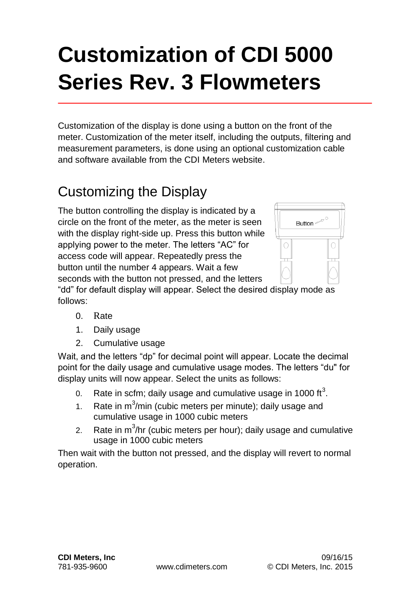# **Customization of CDI 5000 Series Rev. 3 Flowmeters**

Customization of the display is done using a button on the front of the meter. Customization of the meter itself, including the outputs, filtering and measurement parameters, is done using an optional customization cable and software available from the CDI Meters website.

## Customizing the Display

The button controlling the display is indicated by a circle on the front of the meter, as the meter is seen with the display right-side up. Press this button while applying power to the meter. The letters "AC" for access code will appear. Repeatedly press the button until the number 4 appears. Wait a few seconds with the button not pressed, and the letters



"dd" for default display will appear. Select the desired display mode as follows:

- 0. Rate
- 1. Daily usage
- 2. Cumulative usage

Wait, and the letters "dp" for decimal point will appear. Locate the decimal point for the daily usage and cumulative usage modes. The letters "du" for display units will now appear. Select the units as follows:

- 0. Rate in scfm; daily usage and cumulative usage in 1000 ft<sup>3</sup>.
- 1. Rate in  $m^3/m$ in (cubic meters per minute); daily usage and cumulative usage in 1000 cubic meters
- 2. Rate in  $m^3$ /hr (cubic meters per hour); daily usage and cumulative usage in 1000 cubic meters

Then wait with the button not pressed, and the display will revert to normal operation.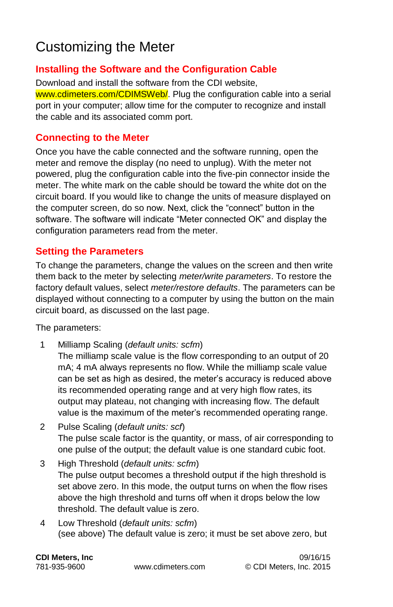## Customizing the Meter

#### **Installing the Software and the Configuration Cable**

Download and install the software from the CDI website, www.cdimeters.com/CDIMSWeb/. Plug the configuration cable into a serial port in your computer; allow time for the computer to recognize and install the cable and its associated comm port.

#### **Connecting to the Meter**

Once you have the cable connected and the software running, open the meter and remove the display (no need to unplug). With the meter not powered, plug the configuration cable into the five-pin connector inside the meter. The white mark on the cable should be toward the white dot on the circuit board. If you would like to change the units of measure displayed on the computer screen, do so now. Next, click the "connect" button in the software. The software will indicate "Meter connected OK" and display the configuration parameters read from the meter.

#### **Setting the Parameters**

To change the parameters, change the values on the screen and then write them back to the meter by selecting *meter/write parameters*. To restore the factory default values, select *meter/restore defaults*. The parameters can be displayed without connecting to a computer by using the button on the main circuit board, as discussed on the last page.

The parameters:

1 Milliamp Scaling (*default units: scfm*)

The milliamp scale value is the flow corresponding to an output of 20 mA; 4 mA always represents no flow. While the milliamp scale value can be set as high as desired, the meter's accuracy is reduced above its recommended operating range and at very high flow rates, its output may plateau, not changing with increasing flow. The default value is the maximum of the meter's recommended operating range.

- 2 Pulse Scaling (*default units: scf*) The pulse scale factor is the quantity, or mass, of air corresponding to one pulse of the output; the default value is one standard cubic foot.
- 3 High Threshold (*default units: scfm*) The pulse output becomes a threshold output if the high threshold is set above zero. In this mode, the output turns on when the flow rises above the high threshold and turns off when it drops below the low threshold. The default value is zero.
- 4 Low Threshold (*default units: scfm*) (see above) The default value is zero; it must be set above zero, but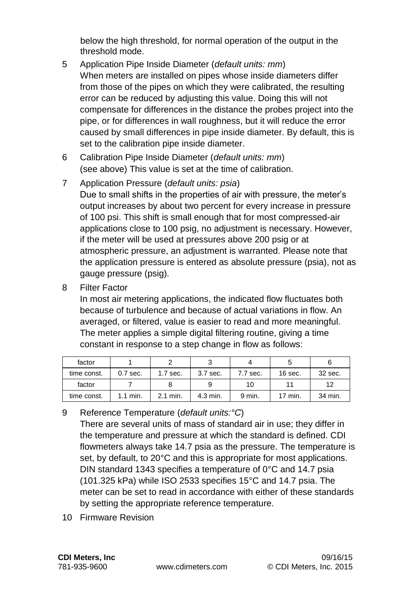below the high threshold, for normal operation of the output in the threshold mode.

- 5 Application Pipe Inside Diameter (*default units: mm*) When meters are installed on pipes whose inside diameters differ from those of the pipes on which they were calibrated, the resulting error can be reduced by adjusting this value. Doing this will not compensate for differences in the distance the probes project into the pipe, or for differences in wall roughness, but it will reduce the error caused by small differences in pipe inside diameter. By default, this is set to the calibration pipe inside diameter.
- 6 Calibration Pipe Inside Diameter (*default units: mm*) (see above) This value is set at the time of calibration.
- 7 Application Pressure (*default units: psia*) Due to small shifts in the properties of air with pressure, the meter's output increases by about two percent for every increase in pressure of 100 psi. This shift is small enough that for most compressed-air applications close to 100 psig, no adjustment is necessary. However, if the meter will be used at pressures above 200 psig or at atmospheric pressure, an adjustment is warranted. Please note that the application pressure is entered as absolute pressure (psia), not as gauge pressure (psig).
- 8 Filter Factor

In most air metering applications, the indicated flow fluctuates both because of turbulence and because of actual variations in flow. An averaged, or filtered, value is easier to read and more meaningful. The meter applies a simple digital filtering routine, giving a time constant in response to a step change in flow as follows:

| factor      |            |            |          |          |           |         |
|-------------|------------|------------|----------|----------|-----------|---------|
| time const. | $0.7$ sec. | $1.7$ sec. | 3.7 sec. | 7.7 sec. | $16$ sec. | 32 sec. |
| factor      |            |            |          | 10       |           | 12      |
| time const. | $1.1$ min. | 2.1 min.   | 4.3 min. | 9 min.   | 17 min.   | 34 min. |

9 Reference Temperature (*default units:°C*)

There are several units of mass of standard air in use; they differ in the temperature and pressure at which the standard is defined. CDI flowmeters always take 14.7 psia as the pressure. The temperature is set, by default, to 20°C and this is appropriate for most applications. DIN standard 1343 specifies a temperature of 0°C and 14.7 psia (101.325 kPa) while ISO 2533 specifies 15°C and 14.7 psia. The meter can be set to read in accordance with either of these standards by setting the appropriate reference temperature.

10 Firmware Revision